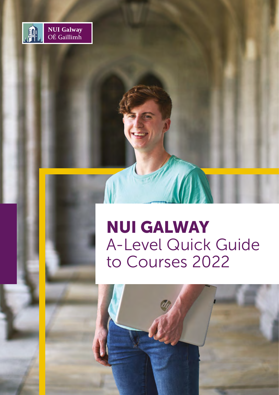

# NUI GALWAY A-Level Quick Guide to Courses 2022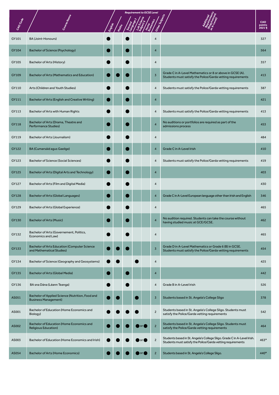| CAOCcode | Course Name                                                                      | English | Maths |  | <b>Requirement to GCSE Level</b> |                |                                                                                                                                        | <b>CAO</b><br>points<br>20211 |
|----------|----------------------------------------------------------------------------------|---------|-------|--|----------------------------------|----------------|----------------------------------------------------------------------------------------------------------------------------------------|-------------------------------|
| GY101    | <b>BA (Joint-Honours)</b>                                                        |         |       |  |                                  | $\overline{4}$ |                                                                                                                                        | 327                           |
| GY104    | <b>Bachelor of Science (Psychology)</b>                                          |         |       |  |                                  | $\overline{4}$ |                                                                                                                                        | 564                           |
| GY105    | <b>Bachelor of Arts (History)</b>                                                |         |       |  |                                  | 4              |                                                                                                                                        | 357                           |
| GY109    | Bachelor of Arts (Mathematics and Education)                                     |         |       |  |                                  | $\overline{3}$ | Grade C in A-Level Mathematics or 8 or above in GCSE (A).<br>Students must satisfy the Police/Garda vetting requirements               | 413                           |
| GY110    | Arts (Children and Youth Studies)                                                |         |       |  |                                  | $\overline{4}$ | Students must satisfy the Police/Garda vetting requirements                                                                            | 387                           |
| GY111    | Bachelor of Arts (English and Creative Writing)                                  |         |       |  |                                  | $\overline{4}$ |                                                                                                                                        | 421                           |
| GY113    | Bachelor of Arts with Human Rights                                               |         |       |  |                                  | 4              | Students must satisfy the Police/Garda vetting requirements                                                                            | 413                           |
| GY118    | Bachelor of Arts (Drama, Theatre and<br><b>Performance Studies)</b>              |         |       |  |                                  | $\overline{4}$ | No auditions or portfolios are required as part of the<br>admissions process                                                           | 453                           |
| GY119    | Bachelor of Arts (Journalism)                                                    |         |       |  |                                  | $\overline{4}$ |                                                                                                                                        | 484                           |
| GY122    | <b>BA (Cumarsáid agus Gaeilge)</b>                                               |         |       |  |                                  | $\overline{4}$ | Grade C in A-Level Irish                                                                                                               | 410                           |
| GY123    | <b>Bachelor of Science (Social Sciences)</b>                                     |         |       |  |                                  | 4              | Students must satisfy the Police/Garda vetting requirements                                                                            | 419                           |
| GY125    | Bachelor of Arts (Digital Arts and Technology)                                   |         |       |  |                                  | $\overline{4}$ |                                                                                                                                        | 403                           |
| GY127    | Bachelor of Arts (Film and Digital Media)                                        |         |       |  |                                  | 4              |                                                                                                                                        | 430                           |
| GY128    | <b>Bachelor of Arts (Global Languages)</b>                                       |         |       |  |                                  | $\overline{4}$ | Grade C in A-Level European language other than Irish and English                                                                      | 346                           |
| GY129    | Bachelor of Arts (Global Experience)                                             |         |       |  |                                  | 4              |                                                                                                                                        | 465                           |
| GY130    | <b>Bachelor of Arts (Music)</b>                                                  |         |       |  |                                  | $\overline{4}$ | No audition required. Students can take the course without<br>having studied music at GCE/GCSE.                                        | 462                           |
| GY132    | Bachelor of Arts (Governement, Politics,<br>Economics and Law)                   |         |       |  |                                  | $\overline{4}$ |                                                                                                                                        | 465                           |
| GY133    | <b>Bachelor of Arts Education (Computer Science</b><br>and Mathematical Studies) |         |       |  |                                  | $\overline{3}$ | Grade D in A-Level Mathematics or Grade 6 (B) in GCSE.<br>Students must satisfy the Police/Garda vetting requirements                  | 454                           |
| GY134    | Bachelor of Science (Geography and Geosystems)                                   |         |       |  |                                  | $\overline{4}$ |                                                                                                                                        | 425                           |
| GY135    | <b>Bachelor of Arts (Global Media)</b>                                           |         |       |  |                                  | 4              |                                                                                                                                        | 442                           |
| GY136    | BA sna Dána (Léann Teanga)                                                       |         |       |  |                                  | $\overline{4}$ | Grade B in A-Level Irish                                                                                                               | 526                           |
| AS051    | Bachelor of Applied Science (Nutrition, Food and<br><b>Business Management)</b>  |         |       |  |                                  | $\overline{3}$ | Students based in St. Angela's College Sligo                                                                                           | 378                           |
| AS001    | Bachelor of Education (Home Economics and<br>Biology)                            |         |       |  |                                  | $\overline{2}$ | Students based in St. Angela's College Sligo. Students must<br>satisfy the Police/Garda vetting requirements                           | 542                           |
| AS002    | Bachelor of Education (Home Economics and<br><b>Religious Education)</b>         |         |       |  | or (                             | $\overline{2}$ | Students based in St. Angela's College Sligo. Students must<br>satisfy the Police/Garda vetting requirements                           | 464                           |
| AS003    | Bachelor of Education (Home Economics and Irish)                                 |         |       |  |                                  | $\overline{2}$ | Students based in St. Angela's College Sligo. Grade C in A-Level Irish.<br>Students must satisfy the Police/Garda vetting requirements | 463*                          |
| AS054    | <b>Bachelor of Arts (Home Economics)</b>                                         |         |       |  | or <b>o</b>                      | $\overline{2}$ | Students based in St. Angela's College Sligo.                                                                                          | 440*                          |

*Requirement to GCSE Level*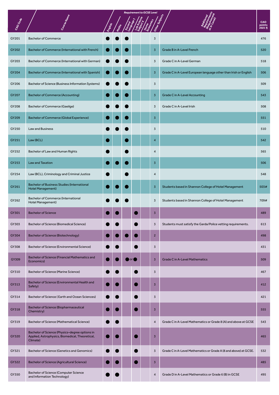| CAOCode |                                                                                                               | <b>Tiglien</b> | <b>Alge</b> |                      | <b>Requirement to GCSE Level</b> |                |                                                                  | CAO<br>points<br>2021 ¶ |
|---------|---------------------------------------------------------------------------------------------------------------|----------------|-------------|----------------------|----------------------------------|----------------|------------------------------------------------------------------|-------------------------|
| GY201   | <b>Bachelor of Commerce</b>                                                                                   |                |             |                      |                                  | $\overline{3}$ |                                                                  | 476                     |
| GY202   | Bachelor of Commerce (International with French)                                                              |                |             |                      |                                  | $\overline{3}$ | Grade B in A-Level French                                        | 520                     |
| GY203   | Bachelor of Commerce (International with German)                                                              |                |             |                      |                                  | $\overline{3}$ | Grade C in A-Level German                                        | 518                     |
| GY204   | Bachelor of Commerce (International with Spanish)                                                             |                |             |                      |                                  | $\overline{3}$ | Grade C in A-Level European language other than Irish or English | 506                     |
| GY206   | Bachelor of Science (Business Information Systems)                                                            |                |             |                      |                                  | $\overline{3}$ |                                                                  | 509                     |
| GY207   | <b>Bachelor of Commerce (Accounting)</b>                                                                      |                |             |                      |                                  | $\overline{3}$ | <b>Grade C in A-Level Accounting</b>                             | 543                     |
| GY208   | <b>Bachelor of Commerce (Gaeilge)</b>                                                                         |                |             |                      |                                  | $\overline{3}$ | Grade C in A-Level Irish                                         | 508                     |
| GY209   | <b>Bachelor of Commerce (Global Experience)</b>                                                               |                |             |                      |                                  | $\overline{3}$ |                                                                  | 551                     |
| GY250   | <b>Law and Business</b>                                                                                       |                |             |                      |                                  | $\overline{3}$ |                                                                  | 510                     |
| GY251   | Law (BCL)                                                                                                     |                |             |                      |                                  | $\overline{4}$ |                                                                  | 542                     |
| GY252   | Bachelor of Law and Human Rights                                                                              |                |             |                      |                                  | 4              |                                                                  | 565                     |
| GY253   | Law and Taxation                                                                                              |                |             |                      |                                  | $\overline{3}$ |                                                                  | 506                     |
| GY254   | Law (BCL), Criminology and Criminal Justice                                                                   |                |             |                      |                                  | $\overline{4}$ |                                                                  | 548                     |
| GY261   | <b>Bachelor of Business Studies (International</b><br><b>Hotel Management)</b>                                |                |             |                      |                                  | $\overline{3}$ | Students based in Shannon College of Hotel Management            | 503#                    |
| GY262   | <b>Bachelor of Commerce (International</b><br>Hotel Management)                                               |                |             |                      |                                  | $\overline{3}$ | Students based in Shannon College of Hotel Management            | 709#                    |
| GY301   | <b>Bachelor of Science</b>                                                                                    |                |             |                      |                                  | $\overline{3}$ |                                                                  | 489                     |
| GY303   | Bachelor of Science (Biomedical Science)                                                                      |                |             |                      |                                  | $\overline{3}$ | Students must satisfy the Garda/Police vetting requirements.     | 613                     |
| GY304   | <b>Bachelor of Science (Biotechnology)</b>                                                                    |                |             |                      |                                  | $\overline{2}$ |                                                                  | 498                     |
| GY308   | Bachelor of Science (Environmental Science)                                                                   |                |             |                      |                                  | $\overline{3}$ |                                                                  | 431                     |
| GY309   | <b>Bachelor of Science (Financial Mathematics and</b><br>Economics)                                           |                |             | $\circ$ or $\bullet$ |                                  | $\overline{3}$ | <b>Grade C in A-Level Mathematics</b>                            | 509                     |
| GY310   | Bachelor of Science (Marine Science)                                                                          |                |             |                      |                                  | $\overline{3}$ |                                                                  | 467                     |
| GY313   | Bachelor of Science (Environmental Health and<br>Safety)                                                      |                |             | e.                   |                                  | $\overline{3}$ |                                                                  | 412                     |
| GY314   | Bachelor of Science (Earth and Ocean Sciences)                                                                |                |             |                      |                                  | $\overline{3}$ |                                                                  | 421                     |
| GY318   | <b>Bachelor of Science (Biopharmaceutical</b><br>Chemistry)                                                   |                |             |                      |                                  | $\overline{3}$ |                                                                  | 555                     |
| GY319   | <b>Bachelor of Science (Mathematical Science)</b>                                                             |                |             |                      |                                  | $\overline{4}$ | Grade C in A-Level Mathematics or Grade 8 (A) and above at GCSE  | 543                     |
| GY320   | Bachelor of Science (Physics-degree options in<br>Applied, Astrophysics, Biomedical, Theoretical,<br>Climate) |                |             |                      |                                  | $\overline{3}$ |                                                                  | 465                     |
| GY321   | Bachelor of Science (Genetics and Genomics)                                                                   |                |             |                      |                                  | $\overline{3}$ | Grade C in A-Level Mathematics or Grade A (8 and above) at GCSE. | 532                     |
| GY322   | <b>Bachelor of Science (Agricultural Science)</b>                                                             |                |             |                      |                                  | $\overline{3}$ |                                                                  | 485                     |
| GY350   | <b>Bachelor of Science (Computer Science</b><br>and Information Technology)                                   |                |             |                      |                                  | 4              | Grade D in A-Level Mathematics or Grade 6 (B) in GCSE            | 495                     |

*Requirement to GCSE Level*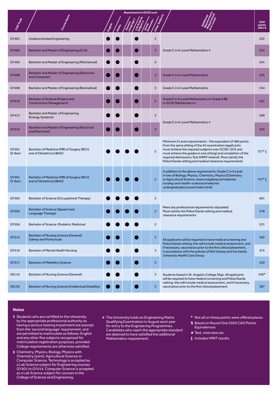|                     |                                                                               |  | <b>Requirement to GCSE Level</b> |  |  |                |                                                                                                                                                                                                                                                                                                                                                                          |                        |
|---------------------|-------------------------------------------------------------------------------|--|----------------------------------|--|--|----------------|--------------------------------------------------------------------------------------------------------------------------------------------------------------------------------------------------------------------------------------------------------------------------------------------------------------------------------------------------------------------------|------------------------|
| CAOCode             |                                                                               |  |                                  |  |  |                |                                                                                                                                                                                                                                                                                                                                                                          | CAO<br>points<br>20211 |
| GY401               | Undenominated Engineering                                                     |  |                                  |  |  | $\overline{3}$ |                                                                                                                                                                                                                                                                                                                                                                          | 522                    |
| GY402               | <b>Bachelor and Master of Engineering (Civil)</b>                             |  |                                  |  |  | $\overline{3}$ | Grade C in A-Level Mathematics ¤                                                                                                                                                                                                                                                                                                                                         | 533                    |
| GY405               | Bachelor and Master of Engineering (Mechanical)                               |  |                                  |  |  | $\overline{3}$ |                                                                                                                                                                                                                                                                                                                                                                          | 541                    |
| GY406               | <b>Bachelor and Master of Engineering (Electronic</b><br>and Computer)        |  |                                  |  |  | $\overline{3}$ | <b>Grade C in A-Level Mathematics</b>                                                                                                                                                                                                                                                                                                                                    | 555                    |
| GY408               | Bachelor and Master of Engineering (Biomedical)                               |  |                                  |  |  | $\overline{3}$ | <b>Grade C in A-Level Mathematics</b>                                                                                                                                                                                                                                                                                                                                    | 554                    |
| GY410               | Bachelor of Science (Project and<br><b>Construction Management)</b>           |  |                                  |  |  | $\overline{3}$ | Grade E in A-Level Mathematics or Grade 6 (B)<br>in GCSE Mathematics ¤                                                                                                                                                                                                                                                                                                   | 431                    |
| GY413               | Bachelor and Master of Engineering<br>(Energy Systems)                        |  |                                  |  |  | $\overline{3}$ |                                                                                                                                                                                                                                                                                                                                                                          | 509                    |
| GY414               | <b>Bachelor and Master of Engineering (Electrical</b><br>and Electronic)      |  |                                  |  |  | $\overline{3}$ | Grade C in A-Level Mathematics ¤                                                                                                                                                                                                                                                                                                                                         |                        |
| GY501<br>$(6$ Year) | Bachelor of Medicine (MB) of Surgery (BCh)<br>and of Obstetrics) (BAO)        |  |                                  |  |  | $\overline{c}$ | Minimum A Level requirements - the equivalent of 480 points<br>from the same sitting of the A2 examination (applicants<br>must achieve the required subjects over GCSE/ GCE and<br>must achieve the grades in one sitting) and completion of the<br>required Admissions Test (HPAT-Ireland). Must satisfy the<br>Police/Garda vetting and medical clearance requirements | $737*$                 |
| GY501<br>$(5$ Year) | Bachelor of Medicine (MB) of Surgery (BCh)<br>and of Obstetrics) (BAO)        |  |                                  |  |  | $\overline{2}$ | In addition to the above requirements: Grade C in A Level<br>in two of Biology, Physics, Chemistry, Physics/Chemistry<br>or Agricultural Science. (www.nuigalway.ie/medicine-<br>nursing-and-health-sciences/medicine/<br>undergraduatecourses/index.html)                                                                                                               | $737*$ S               |
| GY502               | Bachelor of Science (Occupational Therapy)                                    |  |                                  |  |  | $\overline{c}$ |                                                                                                                                                                                                                                                                                                                                                                          | 601                    |
| GY503               | <b>Bachelor of Science (Speech and</b><br>Language Therapy)                   |  |                                  |  |  | $2^{\circ}$    | Meet any professional requirements stipulated.<br>Must satisfy the Police/Garda vetting and medical<br>clearance requirements                                                                                                                                                                                                                                            | 578                    |
| GY504               | Bachelor of Science (Podiatric Medicine)                                      |  |                                  |  |  | $\overline{c}$ |                                                                                                                                                                                                                                                                                                                                                                          |                        |
| GY515               | <b>Bachelor of Nursing Science (General)</b><br><b>Galway and Portiuncula</b> |  |                                  |  |  | $\overline{3}$ | All applicants will be required to have medical screening and<br>Police/Garda vetting: this will include medical assessment, and                                                                                                                                                                                                                                         | 502                    |
| GY516               | <b>Bachelor of Mental Health Nursing</b>                                      |  |                                  |  |  | $\overline{3}$ | if necessary, vaccination prior to the first clinical placement,<br>in accordance with the policies of NUI Galway and the Saolta<br>University Health Care Group.                                                                                                                                                                                                        |                        |
| GY517               | <b>Bachelor of Midwifery Science</b>                                          |  |                                  |  |  | $\overline{3}$ |                                                                                                                                                                                                                                                                                                                                                                          | 520                    |
| AS110               | <b>Bachelor of Nursing Science (General)</b>                                  |  |                                  |  |  | $\overline{3}$ | Students based in St. Angela's College Sligo. All applicants<br>will be required to have medical screening and Police/Garda                                                                                                                                                                                                                                              | 440*                   |
| AS130               | Bachelor of Nursing Science (Intellectual Disability)                         |  |                                  |  |  | $\overline{3}$ | vetting: this will include medical assessment, and if necessary,<br>vaccination prior to the first clinical placement                                                                                                                                                                                                                                                    | 387                    |

#### **Notes**

- **†** Students who are certified to the University by the appropriate professional authority as having a serious hearing impairment are exempt from the 'second language' requirement, and are permitted to matriculate as follows: English and any other five subjects recognised for matriculation registration purposes, provided College requirements are otherwise satisfied.
- **‡** Chemistry, Physics, Biology, Physics with Chemistry (joint), Agricultural Science or Computer Science, Technology is accepted as a Lab Science subject for Engineering courses GY401 to GY414. Computer Science is accepted as a Lab Science subject for courses in the College of Science and Engineering.
- **¤** The University holds an Engineering Maths Qualifying Examination in August each year for entry to the Engineering Programmes. Candidates who reach the appropriate standard are deemed to have satisfied the additional Mathematics requirement.
- **\*** Not all on these points were offered places
- **¶** Based on Round One 2020 CAO Points **Equivalences**
- **#** Test, interview etc
- **§** Includes HPAT results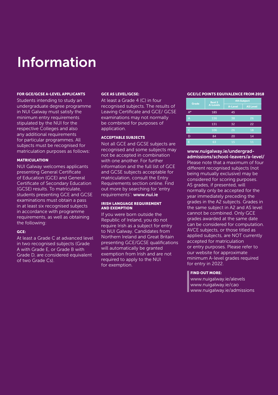# Information

#### FOR GCE/GCSE A-LEVEL APPLICANTS

Students intending to study an undergraduate degree programme in NUI Galway must satisfy the minimum entry requirements stipulated by the NUI for the respective Colleges and also any additional requirements for particular programmes. All subjects must be recognised for matriculation purposes as follows:

#### MATRICULATION

NUI Galway welcomes applicants presenting General Certificate of Education (GCE) and General Certificate of Secondary Education (GCSE) results. To matriculate, students presenting GCE and GCSE examinations must obtain a pass in at least six recognised subjects in accordance with programme requirements, as well as obtaining the following:

## GCE:

At least a Grade C at advanced level in two recognised subjects (Grade A with Grade E, or Grade B with Grade D, are considered equivalent of two Grade Cs).

#### GCE AS LEVEL/GCSE:

At least a Grade 4 (C) in four recognised subjects. The results of Leaving Certificate and GCE/ GCSE examinations may not normally be combined for purposes of application.

# ACCEPTABLE SUBJECTS

Not all GCE and GCSE subjects are recognised and some subjects may not be accepted in combination with one another. For further information and the full list of GCE and GCSE subjects acceptable for matriculation, consult the Entry Requirements section online. Find out more by searching for 'entry requirements': www.nui.ie

#### IRISH LANGUAGE REQUIREMENT AND EXEMPTION

If you were born outside the Republic of Ireland, you do not require Irish as a subject for entry to NUI Galway. Candidates from Northern Ireland and Great Britain presenting GCE/GCSE qualifications will automatically be granted exemption from Irish and are not required to apply to the NUI for exemption.

#### GCE/LC POINTS EQUIVALENCE FROM 2018

|                | Best 3          | <b>4th Subject</b> |                 |  |  |  |  |
|----------------|-----------------|--------------------|-----------------|--|--|--|--|
| Grade          | <b>A-Levels</b> | A-Level            | <b>AS Level</b> |  |  |  |  |
| $A^*$          | 185             | 45                 |                 |  |  |  |  |
| $\overline{A}$ | 156             | 38                 | 26              |  |  |  |  |
| B              | 131             | 32                 | 22              |  |  |  |  |
| $\overline{C}$ | 106             | 26                 | 18              |  |  |  |  |
| D              | 84              | 20                 | 14              |  |  |  |  |
| E              | 63              | 15                 | 11              |  |  |  |  |

# www.nuigalway.ie/undergradadmissions/school-leavers/a-level/

Please note that a maximum of four different recognised subjects (not being mutually exclusive) may be considered for scoring purposes. AS grades, if presented, will normally only be accepted for the year immediately preceding the grades in the A2 subjects. Grades in the same subject in A2 and AS level cannot be combined. Only GCE grades awarded at the same date can be considered for computation. AVCE subjects, or those titled as applied subjects, are NOT currently accepted for matriculation or entry purposes. Please refer to our website for approximate minimum A-level grades required for entry in 2022.

## FIND OUT MORE:

www.nuigalway.ie/alevels www.nuigalway.ie/cao www.nuigalway.ie/admissions